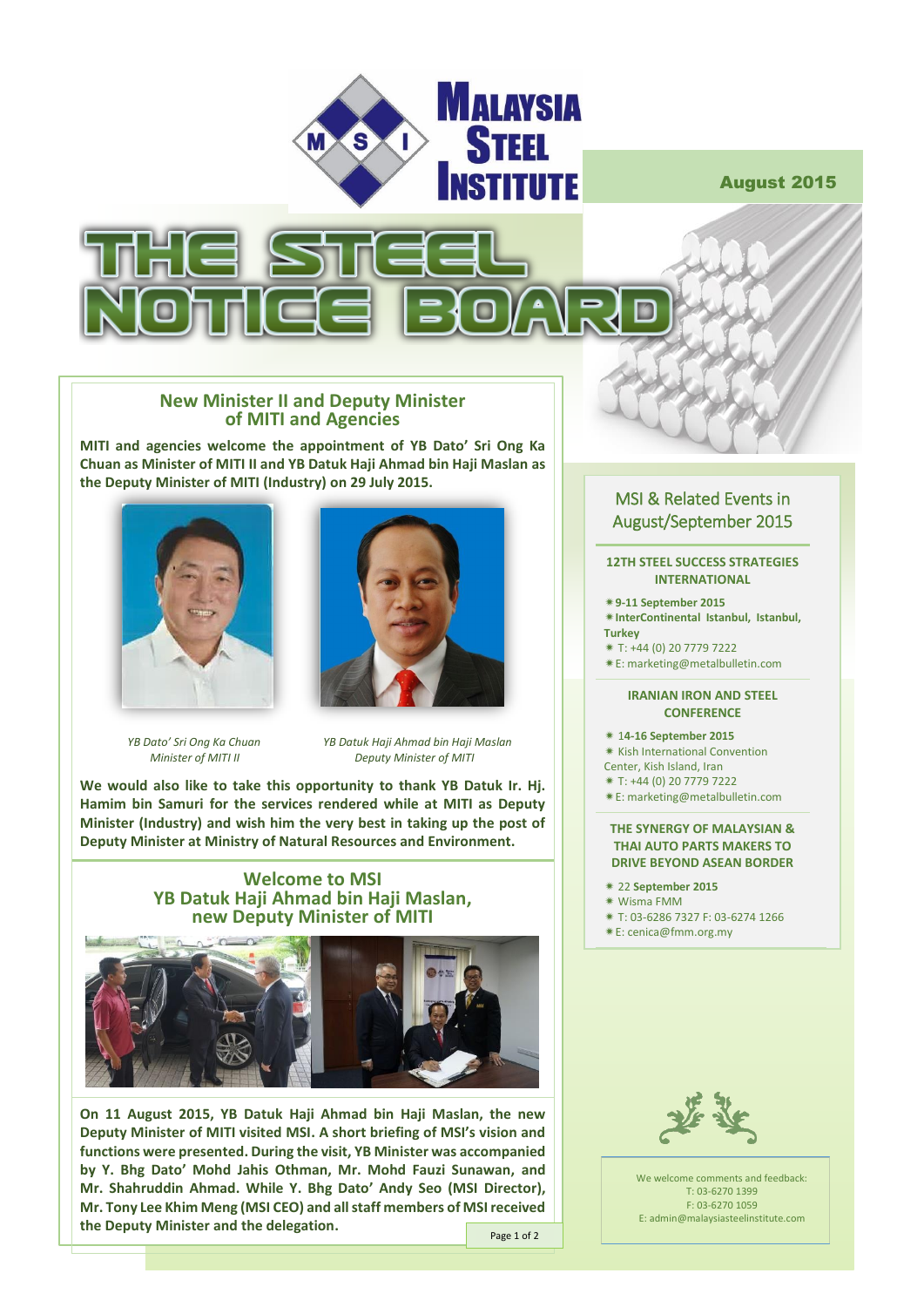

August 2015



## **New Minister II and Deputy Minister of MITI and Agencies**

**MITI and agencies welcome the appointment of YB Dato' Sri Ong Ka Chuan as Minister of MITI II and YB Datuk Haji Ahmad bin Haji Maslan as the Deputy Minister of MITI (Industry) on 29 July 2015.**





 *YB Dato' Sri Ong Ka Chuan YB Datuk Haji Ahmad bin Haji Maslan Minister of MITI II Deputy Minister of MITI*

**We would also like to take this opportunity to thank YB Datuk Ir. Hj. Hamim bin Samuri for the services rendered while at MITI as Deputy Minister (Industry) and wish him the very best in taking up the post of Deputy Minister at Ministry of Natural Resources and Environment.**





**On 11 August 2015, YB Datuk Haji Ahmad bin Haji Maslan, the new Deputy Minister of MITI visited MSI. A short briefing of MSI's vision and functions were presented. During the visit, YB Minister was accompanied by Y. Bhg Dato' Mohd Jahis Othman, Mr. Mohd Fauzi Sunawan, and Mr. Shahruddin Ahmad. While Y. Bhg Dato' Andy Seo (MSI Director), Mr. Tony Lee Khim Meng (MSI CEO) and all staff members of MSIreceived the Deputy Minister and the delegation.**

Page 1 of 2

# MSI & Related Events in August/September 2015

#### **12TH STEEL SUCCESS STRATEGIES INTERNATIONAL**

- **9-11 September 2015**
- **InterContinental Istanbul, Istanbul, Turkey**
- T: +44 (0) 20 7779 7222
- E[: marketing@metalbulletin.com](mailto:marketing@metalbulletin.com)
- 

#### **IRANIAN IRON AND STEEL CONFERENCE**

- 1**4-16 September 2015**
- **Kish International Convention**
- Center, Kish Island, Iran
- T: +44 (0) 20 7779 7222
- E[: marketing@metalbulletin.com](mailto:marketing@metalbulletin.com)

### **THE SYNERGY OF MALAYSIAN & THAI AUTO PARTS MAKERS TO DRIVE BEYOND ASEAN BORDER**

- 22 **September 2015**
- Wisma FMM
- T: 03-6286 7327 F: 03-6274 1266
- E[: cenica@fmm.org.my](mailto:cenica@fmm.org.my)



We welcome comments and feedback: T: 03-6270 1399 F: 03-6270 1059 E: admin@malaysiasteelinstitute.com